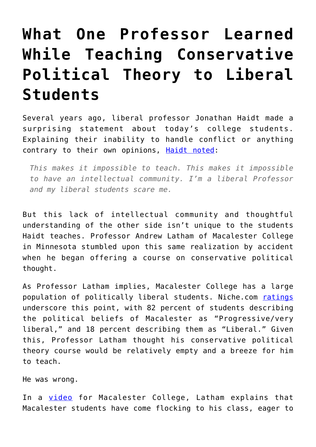## **[What One Professor Learned](https://intellectualtakeout.org/2019/02/what-one-professor-learned-while-teaching-conservative-political-theory-to-liberal-students/) [While Teaching Conservative](https://intellectualtakeout.org/2019/02/what-one-professor-learned-while-teaching-conservative-political-theory-to-liberal-students/) [Political Theory to Liberal](https://intellectualtakeout.org/2019/02/what-one-professor-learned-while-teaching-conservative-political-theory-to-liberal-students/) [Students](https://intellectualtakeout.org/2019/02/what-one-professor-learned-while-teaching-conservative-political-theory-to-liberal-students/)**

Several years ago, liberal professor Jonathan Haidt made a surprising statement about today's college students. Explaining their inability to handle conflict or anything contrary to their own opinions, [Haidt noted:](https://www.intellectualtakeout.org/blog/psychologist-breakdown-discourse-im-liberal-professor-and-my-liberal-students-scare-me)

*This makes it impossible to teach. This makes it impossible to have an intellectual community. I'm a liberal Professor and my liberal students scare me.*

But this lack of intellectual community and thoughtful understanding of the other side isn't unique to the students Haidt teaches. Professor Andrew Latham of Macalester College in Minnesota stumbled upon this same realization by accident when he began offering a course on conservative political thought.

As Professor Latham implies, Macalester College has a large population of politically liberal students. Niche.com [ratings](https://www.niche.com/colleges/macalester-college/students/) underscore this point, with 82 percent of students describing the political beliefs of Macalester as "Progressive/very liberal," and 18 percent describing them as "Liberal." Given this, Professor Latham thought his conservative political theory course would be relatively empty and a breeze for him to teach.

He was wrong.

In a [video](https://www.youtube.com/watch?time_continue=161&v=U3pS0ZdwEbk) for Macalester College, Latham explains that Macalester students have come flocking to his class, eager to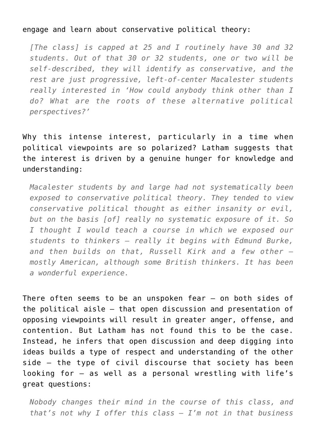## engage and learn about conservative political theory:

*[The class] is capped at 25 and I routinely have 30 and 32 students. Out of that 30 or 32 students, one or two will be self-described, they will identify as conservative, and the rest are just progressive, left-of-center Macalester students really interested in 'How could anybody think other than I do? What are the roots of these alternative political perspectives?'*

Why this intense interest, particularly in a time when political viewpoints are so polarized? Latham suggests that the interest is driven by a genuine hunger for knowledge and understanding:

*Macalester students by and large had not systematically been exposed to conservative political theory. They tended to view conservative political thought as either insanity or evil, but on the basis [of] really no systematic exposure of it. So I thought I would teach a course in which we exposed our students to thinkers – really it begins with Edmund Burke, and then builds on that, Russell Kirk and a few other – mostly American, although some British thinkers. It has been a wonderful experience.*

There often seems to be an unspoken fear – on both sides of the political aisle – that open discussion and presentation of opposing viewpoints will result in greater anger, offense, and contention. But Latham has not found this to be the case. Instead, he infers that open discussion and deep digging into ideas builds a type of respect and understanding of the other side – the type of civil discourse that society has been looking for – as well as a personal wrestling with life's great questions:

*Nobody changes their mind in the course of this class, and that's not why I offer this class – I'm not in that business*